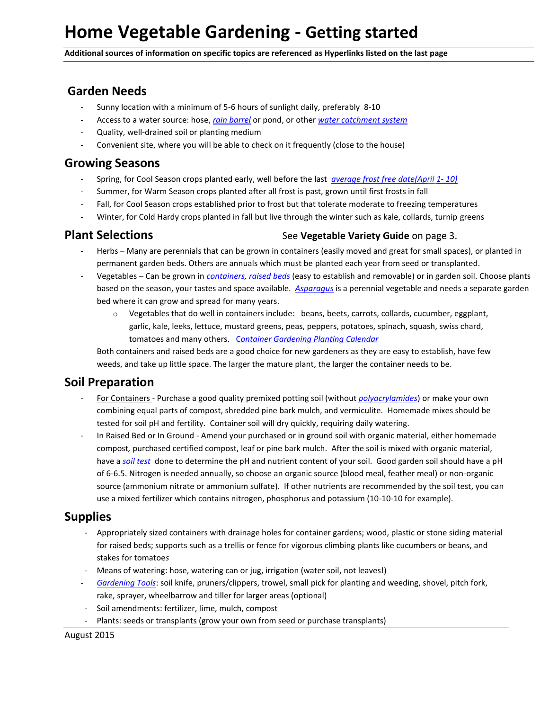**Additional sources of information on specific topics are referenced as Hyperlinks listed on the last page**

# **Garden Needs**

- Sunny location with a minimum of 5-6 hours of sunlight daily, preferably 8-10
- Access to a water source: hose, *[rain barrel](http://media.clemson.edu/public/restoration/carolina%20clear/toolbox/cc_rainbarrel_manual_may11.pdf)* or pond, or other *[water catchment system](http://www.ces.ncsu.edu/depts/agecon/WECO/documents/WaterHarvestHome2008.pdf)*
- Quality, well-drained soil or planting medium
- Convenient site, where you will be able to check on it frequently (close to the house)

#### **Growing Seasons**

- Spring, for Cool Season crops planted early, well before the last *[average frost free date\(April](http://planthardiness.ars.usda.gov/PHZMWeb/) 1- 10)*
- Summer, for Warm Season crops planted after all frost is past, grown until first frosts in fall
- Fall, for Cool Season crops established prior to frost but that tolerate moderate to freezing temperatures
- Winter, for Cold Hardy crops planted in fall but live through the winter such as kale, collards, turnip greens

#### **Plant Selections** See Vegetable Variety Guide on page 3.

- Herbs Many are perennials that can be grown in containers (easily moved and great for small spaces), or planted in permanent garden beds. Others are annuals which must be planted each year from seed or transplanted.
- Vegetables Can be grown in *[containers,](http://cals.ncsu.edu/hort_sci/extension/documents/AG-753_ContainerGardeningforEdibles_Online.pdf) [raised beds](http://www.advocatesforhealthinaction.org/system/files/files/How%20To%20guide%20for%20Raised%20Bed%20Gardening,%20Kathleen%20Hebert.pdf)* (easy to establish and removable) or in garden soil. Choose plants based on the season, your tastes and space available. *[Asparagus](http://www.ces.ncsu.edu/hil/hil-8002.html)* is a perennial vegetable and needs a separate garden bed where it can grow and spread for many years.
	- o Vegetables that do well in containers include: beans, beets, carrots, collards, cucumber, eggplant, garlic, kale, leeks, lettuce, mustard greens, peas, peppers, potatoes, spinach, squash, swiss chard, tomatoes and many others. C*[ontainer Gardening Planting](http://cals.ncsu.edu/hort_sci/extension/documents/ag-748.pdf) Calendar*

Both containers and raised beds are a good choice for new gardeners as they are easy to establish, have few weeds, and take up little space. The larger the mature plant, the larger the container needs to be.

### **Soil Preparation**

- For Containers Purchase a good quality premixed potting soil (without *[polyacrylamides](http://puyallup.wsu.edu/~linda%20chalker-scott/horticultural%20myths_files/Myths/Hydrogels.pdf)*) or make your own combining equal parts of compost, shredded pine bark mulch, and vermiculite. Homemade mixes should be tested for soil pH and fertility. Container soil will dry quickly, requiring daily watering.
- In Raised Bed or In Ground Amend your purchased or in ground soil with organic material, either homemade compost*,* purchased certified compost, leaf or pine bark mulch. After the soil is mixed with organic material, have a *[soil test](http://www.ncagr.gov/agronomi/sthome.htm)* done to determine the pH and nutrient content of your soil. Good garden soil should have a pH of 6-6.5. Nitrogen is needed annually, so choose an organic source (blood meal, feather meal) or non-organic source (ammonium nitrate or ammonium sulfate). If other nutrients are recommended by the soil test, you can use a mixed fertilizer which contains nitrogen, phosphorus and potassium (10-10-10 for example).

# **Supplies**

- Appropriately sized containers with drainage holes for container gardens; wood, plastic or stone siding material for raised beds; supports such as a trellis or fence for vigorous climbing plants like cucumbers or beans, and stakes for tomatoe*s*
- Means of watering: hose, watering can or jug, irrigation (water soil, not leaves!)
- *[Gardening Tools](http://lee.ces.ncsu.edu/2013/04/basic-garden-tools-3/)*: soil knife, pruners/clippers, trowel, small pick for planting and weeding, shovel, pitch fork, rake, sprayer, wheelbarrow and tiller for larger areas (optional)
- Soil amendments: fertilizer, lime, mulch, compost
- Plants: seeds or transplants (grow your own from seed or purchase transplants)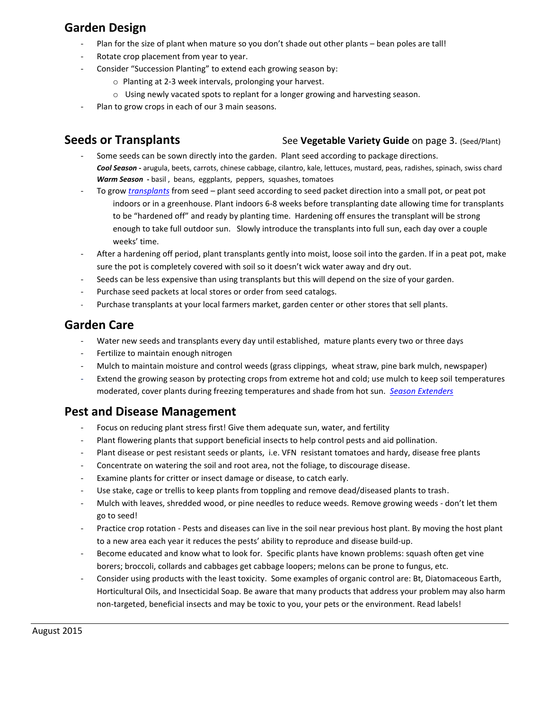# **Garden Design**

- Plan for the size of plant when mature so you don't shade out other plants bean poles are tall!
- Rotate crop placement from year to year.
- Consider "Succession Planting" to extend each growing season by:
	- o Planting at 2-3 week intervals, prolonging your harvest.
	- o Using newly vacated spots to replant for a longer growing and harvesting season.
- Plan to grow crops in each of our 3 main seasons.

#### **Seeds or Transplants** See Vegetable Variety Guide on page 3. (Seed/Plant)

- Some seeds can be sown directly into the garden. Plant seed according to package directions. *Cool Season* **-** arugula, beets, carrots, chinese cabbage, cilantro, kale, lettuces, mustard, peas, radishes, spinach, swiss chard *Warm Season* **-** basil , beans, eggplants, peppers, squashes, tomatoes
- To grow *[transplants](http://granville.ces.ncsu.edu/2012/02/starting-vegetable-seeds/)* from seed plant seed according to seed packet direction into a small pot, or peat pot indoors or in a greenhouse. Plant indoors 6-8 weeks before transplanting date allowing time for transplants to be "hardened off" and ready by planting time. Hardening off ensures the transplant will be strong enough to take full outdoor sun. Slowly introduce the transplants into full sun, each day over a couple weeks' time.
- After a hardening off period, plant transplants gently into moist, loose soil into the garden. If in a peat pot, make sure the pot is completely covered with soil so it doesn't wick water away and dry out.
- Seeds can be less expensive than using transplants but this will depend on the size of your garden.
- Purchase seed packets at local stores or order from seed catalogs.
- Purchase transplants at your local farmers market, garden center or other stores that sell plants.

## **Garden Care**

- Water new seeds and transplants every day until established, mature plants every two or three days
- Fertilize to maintain enough nitrogen
- Mulch to maintain moisture and control weeds (grass clippings, wheat straw, pine bark mulch, newspaper)
- Extend the growing season by protecting crops from extreme hot and cold; use mulch to keep soil temperatures moderated, cover plants during freezing temperatures and shade from hot sun. *[Season Extenders](http://pubs.ext.vt.edu/426/426-381/426-381.html)*

### **Pest and Disease Management**

- Focus on reducing plant stress first! Give them adequate sun, water, and fertility
- Plant flowering plants that support beneficial insects to help control pests and aid pollination.
- Plant disease or pest resistant seeds or plants, i.e. VFN resistant tomatoes and hardy, disease free plants
- Concentrate on watering the soil and root area, not the foliage, to discourage disease.
- Examine plants for critter or insect damage or disease, to catch early.
- Use stake, cage or trellis to keep plants from toppling and remove dead/diseased plants to trash.
- Mulch with leaves, shredded wood, or pine needles to reduce weeds. Remove growing weeds don't let them go to seed!
- Practice crop rotation Pests and diseases can live in the soil near previous host plant. By moving the host plant to a new area each year it reduces the pests' ability to reproduce and disease build-up.
- Become educated and know what to look for. Specific plants have known problems: squash often get vine borers; broccoli, collards and cabbages get cabbage loopers; melons can be prone to fungus, etc.
- Consider using products with the least toxicity. Some examples of organic control are: Bt, Diatomaceous Earth, Horticultural Oils, and Insecticidal Soap. Be aware that many products that address your problem may also harm non-targeted, beneficial insects and may be toxic to you, your pets or the environment. Read labels!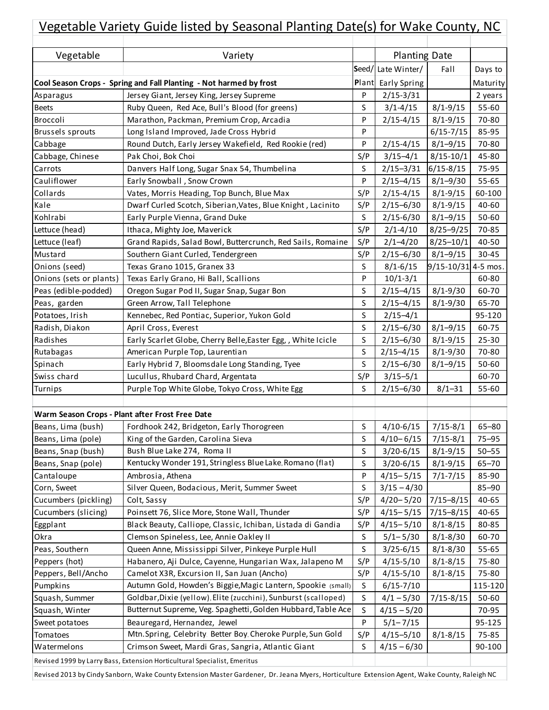| Vegetable Variety Guide listed by Seasonal Planting Date(s) for Wake County, NC |                                                                    |       |                      |                         |           |  |
|---------------------------------------------------------------------------------|--------------------------------------------------------------------|-------|----------------------|-------------------------|-----------|--|
|                                                                                 |                                                                    |       |                      |                         |           |  |
| Vegetable                                                                       | Variety                                                            |       | <b>Planting Date</b> |                         |           |  |
|                                                                                 |                                                                    |       | Seed/Late Winter/    | Fall                    | Days to   |  |
|                                                                                 | Cool Season Crops - Spring and Fall Planting - Not harmed by frost | Plant | Early Spring         |                         | Maturity  |  |
| Asparagus                                                                       | Jersey Giant, Jersey King, Jersey Supreme                          | P     | $2/15 - 3/31$        |                         | 2 years   |  |
| <b>Beets</b>                                                                    | Ruby Queen, Red Ace, Bull's Blood (for greens)                     | S     | $3/1 - 4/15$         | $8/1 - 9/15$            | 55-60     |  |
| Broccoli                                                                        | Marathon, Packman, Premium Crop, Arcadia                           | P     | $2/15 - 4/15$        | $8/1 - 9/15$            | 70-80     |  |
| Brussels sprouts                                                                | Long Island Improved, Jade Cross Hybrid                            | P     |                      | $6/15 - 7/15$           | 85-95     |  |
| Cabbage                                                                         | Round Dutch, Early Jersey Wakefield, Red Rookie (red)              | P     | $2/15 - 4/15$        | $8/1 - 9/15$            | 70-80     |  |
| Cabbage, Chinese                                                                | Pak Choi, Bok Choi                                                 | S/P   | $3/15 - 4/1$         | $8/15 - 10/1$           | 45-80     |  |
| Carrots                                                                         | Danvers Half Long, Sugar Snax 54, Thumbelina                       | S     | $2/15 - 3/31$        | $6/15 - 8/15$           | 75-95     |  |
| Cauliflower                                                                     | Early Snowball, Snow Crown                                         | P     | $2/15 - 4/15$        | $8/1 - 9/30$            | 55-65     |  |
| Collards                                                                        | Vates, Morris Heading, Top Bunch, Blue Max                         | S/P   | $2/15 - 4/15$        | $8/1 - 9/15$            | 60-100    |  |
| Kale                                                                            | Dwarf Curled Scotch, Siberian, Vates, Blue Knight, Lacinito        | S/P   | $2/15 - 6/30$        | $8/1 - 9/15$            | 40-60     |  |
| Kohlrabi                                                                        | Early Purple Vienna, Grand Duke                                    | S     | $2/15 - 6/30$        | $8/1 - 9/15$            | 50-60     |  |
| Lettuce (head)                                                                  | Ithaca, Mighty Joe, Maverick                                       | S/P   | $2/1 - 4/10$         | $8/25 - 9/25$           | 70-85     |  |
| Lettuce (leaf)                                                                  | Grand Rapids, Salad Bowl, Buttercrunch, Red Sails, Romaine         | S/P   | $2/1 - 4/20$         | $8/25 - 10/1$           | 40-50     |  |
| Mustard                                                                         | Southern Giant Curled, Tendergreen                                 | S/P   | $2/15 - 6/30$        | $8/1 - 9/15$            | $30 - 45$ |  |
| Onions (seed)                                                                   | Texas Grano 1015, Granex 33                                        | S     | $8/1 - 6/15$         | $9/15 - 10/31$ 4-5 mos. |           |  |
| Onions (sets or plants)                                                         | Texas Early Grano, Hi Ball, Scallions                              | P     | $10/1 - 3/1$         |                         | 60-80     |  |
| Peas (edible-podded)                                                            | Oregon Sugar Pod II, Sugar Snap, Sugar Bon                         | S     | $2/15 - 4/15$        | $8/1 - 9/30$            | 60-70     |  |
| Peas, garden                                                                    | Green Arrow, Tall Telephone                                        | S     | $2/15 - 4/15$        | $8/1 - 9/30$            | 65-70     |  |
| Potatoes, Irish                                                                 | Kennebec, Red Pontiac, Superior, Yukon Gold                        | S     | $2/15 - 4/1$         |                         | 95-120    |  |
| Radish, Diakon                                                                  | April Cross, Everest                                               | S     | $2/15 - 6/30$        | $8/1 - 9/15$            | 60-75     |  |
| Radishes                                                                        | Early Scarlet Globe, Cherry Belle, Easter Egg, , White Icicle      | S     | $2/15 - 6/30$        | $8/1 - 9/15$            | 25-30     |  |
| Rutabagas                                                                       | American Purple Top, Laurentian                                    | S     | $2/15 - 4/15$        | $8/1 - 9/30$            | 70-80     |  |
| Spinach                                                                         | Early Hybrid 7, Bloomsdale Long Standing, Tyee                     | S     | $2/15 - 6/30$        | $8/1 - 9/15$            | 50-60     |  |
| Swiss chard                                                                     | Lucullus, Rhubard Chard, Argentata                                 | S/P   | $3/15 - 5/1$         |                         | 60-70     |  |
| Turnips                                                                         | Purple Top White Globe, Tokyo Cross, White Egg                     | S     | $2/15 - 6/30$        | $8/1 - 31$              | 55-60     |  |
|                                                                                 |                                                                    |       |                      |                         |           |  |
| Warm Season Crops - Plant after Frost Free Date                                 |                                                                    |       |                      |                         |           |  |
| Beans, Lima (bush)                                                              | Fordhook 242, Bridgeton, Early Thorogreen                          | S     | $4/10 - 6/15$        | $7/15 - 8/1$            | $65 - 80$ |  |
| Beans, Lima (pole)                                                              | King of the Garden, Carolina Sieva                                 | S     | $4/10 - 6/15$        | $7/15 - 8/1$            | $75 - 95$ |  |
| Beans, Snap (bush)                                                              | Bush Blue Lake 274, Roma II                                        | S     | $3/20 - 6/15$        | $8/1 - 9/15$            | $50 - 55$ |  |
| Beans, Snap (pole)                                                              | Kentucky Wonder 191, Stringless Blue Lake, Romano (flat)           | S     | $3/20 - 6/15$        | $8/1 - 9/15$            | $65 - 70$ |  |
| Cantaloupe                                                                      | Ambrosia, Athena                                                   | P     | $4/15 - 5/15$        | $7/1 - 7/15$            | 85-90     |  |
| Corn, Sweet                                                                     | Silver Queen, Bodacious, Merit, Summer Sweet                       | S     | $3/15 - 4/30$        |                         | 85-90     |  |
| Cucumbers (pickling)                                                            | Colt, Sassy                                                        | S/P   | $4/20 - 5/20$        | $7/15 - 8/15$           | 40-65     |  |
| Cucumbers (slicing)                                                             | Poinsett 76, Slice More, Stone Wall, Thunder                       | S/P   | $4/15 - 5/15$        | $7/15 - 8/15$           | 40-65     |  |
| Eggplant                                                                        | Black Beauty, Calliope, Classic, Ichiban, Listada di Gandia        | S/P   | $4/15 - 5/10$        | $8/1 - 8/15$            | 80-85     |  |
| Okra                                                                            | Clemson Spineless, Lee, Annie Oakley II                            | S     | $5/1 - 5/30$         | $8/1 - 8/30$            | 60-70     |  |
| Peas, Southern                                                                  | Queen Anne, Mississippi Silver, Pinkeye Purple Hull                | S     | $3/25 - 6/15$        | $8/1 - 8/30$            | 55-65     |  |
| Peppers (hot)                                                                   | Habanero, Aji Dulce, Cayenne, Hungarian Wax, Jalapeno M            | S/P   | $4/15 - 5/10$        | $8/1 - 8/15$            | 75-80     |  |
| Peppers, Bell/Ancho                                                             | Camelot X3R, Excursion II, San Juan (Ancho)                        | S/P   | $4/15 - 5/10$        | $8/1 - 8/15$            | 75-80     |  |
| Pumpkins                                                                        | Autumn Gold, Howden's Biggie, Magic Lantern, Spookie (small)       | S     | $6/15 - 7/10$        |                         | 115-120   |  |
| Squash, Summer                                                                  | Goldbar, Dixie (yellow), Elite (zucchini), Sunburst (scalloped)    | S     | $4/1 - 5/30$         | $7/15 - 8/15$           | 50-60     |  |
| Squash, Winter                                                                  | Butternut Supreme, Veg. Spaghetti, Golden Hubbard, Table Ace       | S     | $4/15 - 5/20$        |                         | 70-95     |  |
| Sweet potatoes                                                                  | Beauregard, Hernandez, Jewel                                       | P     | $5/1 - 7/15$         |                         | 95-125    |  |
| Tomatoes                                                                        | Mtn.Spring, Celebrity Better Boy, Cheroke Purple, Sun Gold         | S/P   | $4/15 - 5/10$        | $8/1 - 8/15$            | 75-85     |  |
| Watermelons                                                                     | Crimson Sweet, Mardi Gras, Sangria, Atlantic Giant                 | S     | $4/15 - 6/30$        |                         | 90-100    |  |
| Revised 1999 by Larry Bass, Extension Horticultural Specialist, Emeritus        |                                                                    |       |                      |                         |           |  |

Revised 2013 by Cindy Sanborn, Wake County Extension Master Gardener, Dr. Jeana Myers, Horticulture Extension Agent, Wake County, Raleigh NC